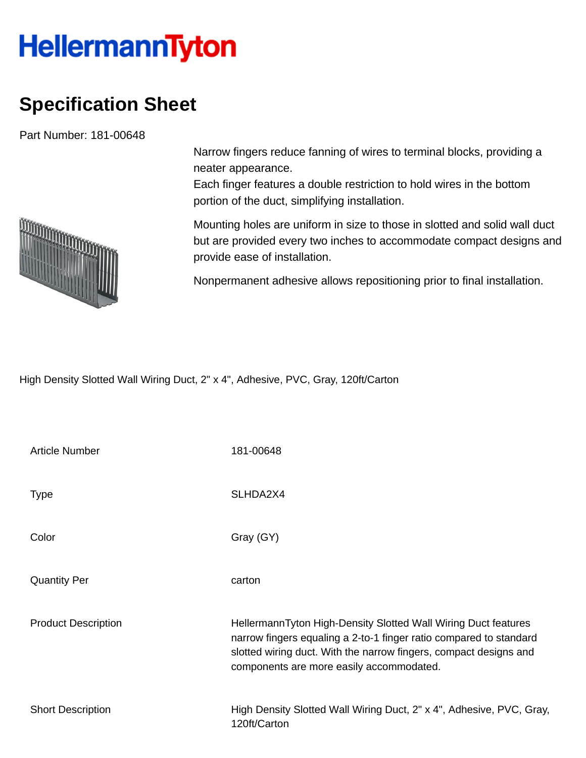## **HellermannTyton**

## **Specification Sheet**

Part Number: 181-00648



Each finger features a double restriction to hold wires in the bottom portion of the duct, simplifying installation.

Mounting holes are uniform in size to those in slotted and solid wall duct but are provided every two inches to accommodate compact designs and provide ease of installation.

Nonpermanent adhesive allows repositioning prior to final installation.

High Density Slotted Wall Wiring Duct, 2" x 4", Adhesive, PVC, Gray, 120ft/Carton

| <b>Article Number</b>      | 181-00648                                                                                                                                                                                                                                             |
|----------------------------|-------------------------------------------------------------------------------------------------------------------------------------------------------------------------------------------------------------------------------------------------------|
| <b>Type</b>                | SLHDA2X4                                                                                                                                                                                                                                              |
| Color                      | Gray (GY)                                                                                                                                                                                                                                             |
| <b>Quantity Per</b>        | carton                                                                                                                                                                                                                                                |
| <b>Product Description</b> | HellermannTyton High-Density Slotted Wall Wiring Duct features<br>narrow fingers equaling a 2-to-1 finger ratio compared to standard<br>slotted wiring duct. With the narrow fingers, compact designs and<br>components are more easily accommodated. |
| <b>Short Description</b>   | High Density Slotted Wall Wiring Duct, 2" x 4", Adhesive, PVC, Gray,<br>120ft/Carton                                                                                                                                                                  |

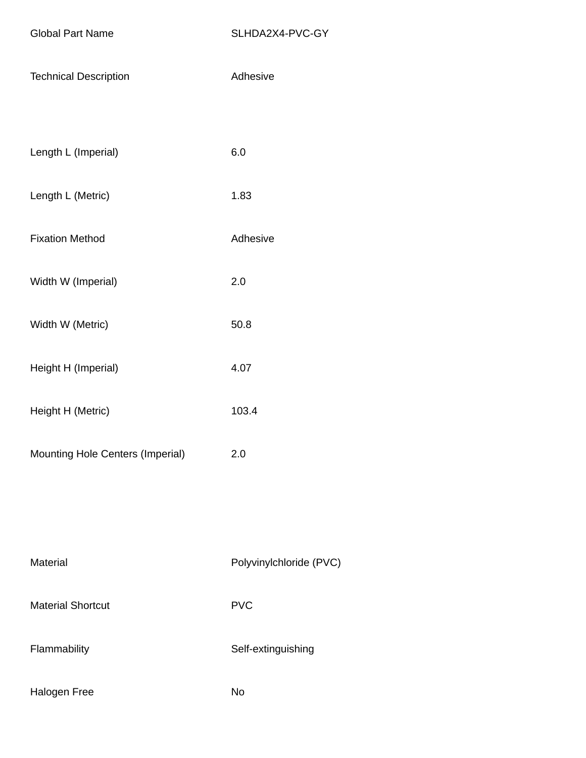| <b>Technical Description</b>     | Adhesive |
|----------------------------------|----------|
|                                  |          |
| Length L (Imperial)              | 6.0      |
| Length L (Metric)                | 1.83     |
| <b>Fixation Method</b>           | Adhesive |
| Width W (Imperial)               | 2.0      |
| Width W (Metric)                 | 50.8     |
| Height H (Imperial)              | 4.07     |
| Height H (Metric)                | 103.4    |
| Mounting Hole Centers (Imperial) | 2.0      |
|                                  |          |
|                                  |          |
|                                  |          |

Material Material Polyvinylchloride (PVC) Material Shortcut **PVC** Flammability **Self-extinguishing** Halogen Free No